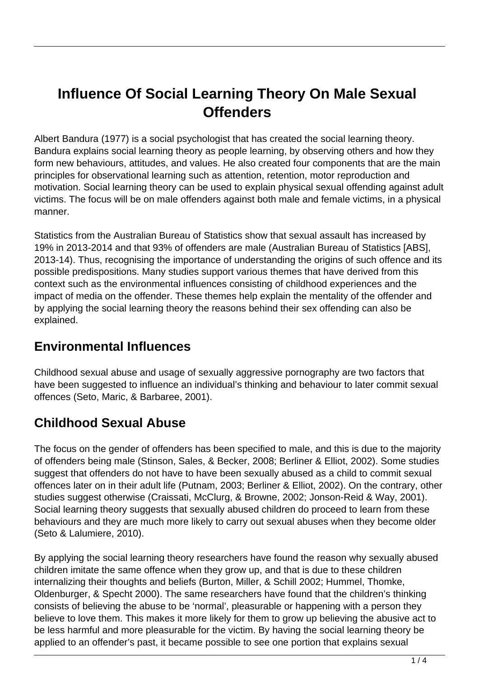# **Influence Of Social Learning Theory On Male Sexual Offenders**

Albert Bandura (1977) is a social psychologist that has created the social learning theory. Bandura explains social learning theory as people learning, by observing others and how they form new behaviours, attitudes, and values. He also created four components that are the main principles for observational learning such as attention, retention, motor reproduction and motivation. Social learning theory can be used to explain physical sexual offending against adult victims. The focus will be on male offenders against both male and female victims, in a physical manner.

Statistics from the Australian Bureau of Statistics show that sexual assault has increased by 19% in 2013-2014 and that 93% of offenders are male (Australian Bureau of Statistics [ABS], 2013-14). Thus, recognising the importance of understanding the origins of such offence and its possible predispositions. Many studies support various themes that have derived from this context such as the environmental influences consisting of childhood experiences and the impact of media on the offender. These themes help explain the mentality of the offender and by applying the social learning theory the reasons behind their sex offending can also be explained.

#### **Environmental Influences**

Childhood sexual abuse and usage of sexually aggressive pornography are two factors that have been suggested to influence an individual's thinking and behaviour to later commit sexual offences (Seto, Maric, & Barbaree, 2001).

#### **Childhood Sexual Abuse**

The focus on the gender of offenders has been specified to male, and this is due to the majority of offenders being male (Stinson, Sales, & Becker, 2008; Berliner & Elliot, 2002). Some studies suggest that offenders do not have to have been sexually abused as a child to commit sexual offences later on in their adult life (Putnam, 2003; Berliner & Elliot, 2002). On the contrary, other studies suggest otherwise (Craissati, McClurg, & Browne, 2002; Jonson-Reid & Way, 2001). Social learning theory suggests that sexually abused children do proceed to learn from these behaviours and they are much more likely to carry out sexual abuses when they become older (Seto & Lalumiere, 2010).

By applying the social learning theory researchers have found the reason why sexually abused children imitate the same offence when they grow up, and that is due to these children internalizing their thoughts and beliefs (Burton, Miller, & Schill 2002; Hummel, Thomke, Oldenburger, & Specht 2000). The same researchers have found that the children's thinking consists of believing the abuse to be 'normal', pleasurable or happening with a person they believe to love them. This makes it more likely for them to grow up believing the abusive act to be less harmful and more pleasurable for the victim. By having the social learning theory be applied to an offender's past, it became possible to see one portion that explains sexual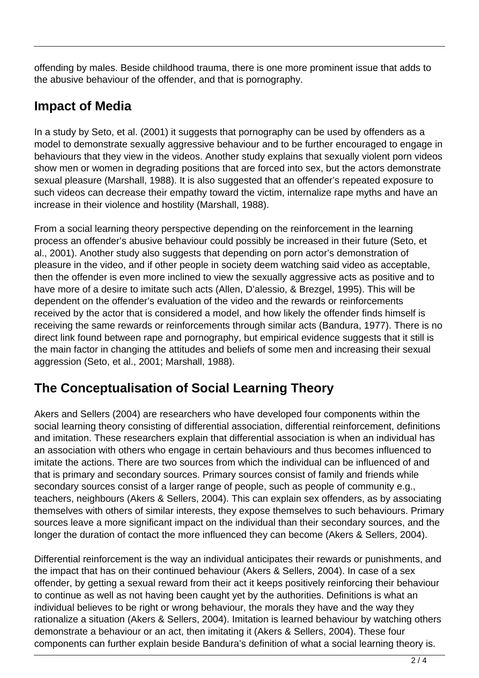offending by males. Beside childhood trauma, there is one more prominent issue that adds to the abusive behaviour of the offender, and that is pornography.

#### **Impact of Media**

In a study by Seto, et al. (2001) it suggests that pornography can be used by offenders as a model to demonstrate sexually aggressive behaviour and to be further encouraged to engage in behaviours that they view in the videos. Another study explains that sexually violent porn videos show men or women in degrading positions that are forced into sex, but the actors demonstrate sexual pleasure (Marshall, 1988). It is also suggested that an offender's repeated exposure to such videos can decrease their empathy toward the victim, internalize rape myths and have an increase in their violence and hostility (Marshall, 1988).

From a social learning theory perspective depending on the reinforcement in the learning process an offender's abusive behaviour could possibly be increased in their future (Seto, et al., 2001). Another study also suggests that depending on porn actor's demonstration of pleasure in the video, and if other people in society deem watching said video as acceptable, then the offender is even more inclined to view the sexually aggressive acts as positive and to have more of a desire to imitate such acts (Allen, D'alessio, & Brezgel, 1995). This will be dependent on the offender's evaluation of the video and the rewards or reinforcements received by the actor that is considered a model, and how likely the offender finds himself is receiving the same rewards or reinforcements through similar acts (Bandura, 1977). There is no direct link found between rape and pornography, but empirical evidence suggests that it still is the main factor in changing the attitudes and beliefs of some men and increasing their sexual aggression (Seto, et al., 2001; Marshall, 1988).

## **The Conceptualisation of Social Learning Theory**

Akers and Sellers (2004) are researchers who have developed four components within the social learning theory consisting of differential association, differential reinforcement, definitions and imitation. These researchers explain that differential association is when an individual has an association with others who engage in certain behaviours and thus becomes influenced to imitate the actions. There are two sources from which the individual can be influenced of and that is primary and secondary sources. Primary sources consist of family and friends while secondary sources consist of a larger range of people, such as people of community e.g., teachers, neighbours (Akers & Sellers, 2004). This can explain sex offenders, as by associating themselves with others of similar interests, they expose themselves to such behaviours. Primary sources leave a more significant impact on the individual than their secondary sources, and the longer the duration of contact the more influenced they can become (Akers & Sellers, 2004).

Differential reinforcement is the way an individual anticipates their rewards or punishments, and the impact that has on their continued behaviour (Akers & Sellers, 2004). In case of a sex offender, by getting a sexual reward from their act it keeps positively reinforcing their behaviour to continue as well as not having been caught yet by the authorities. Definitions is what an individual believes to be right or wrong behaviour, the morals they have and the way they rationalize a situation (Akers & Sellers, 2004). Imitation is learned behaviour by watching others demonstrate a behaviour or an act, then imitating it (Akers & Sellers, 2004). These four components can further explain beside Bandura's definition of what a social learning theory is.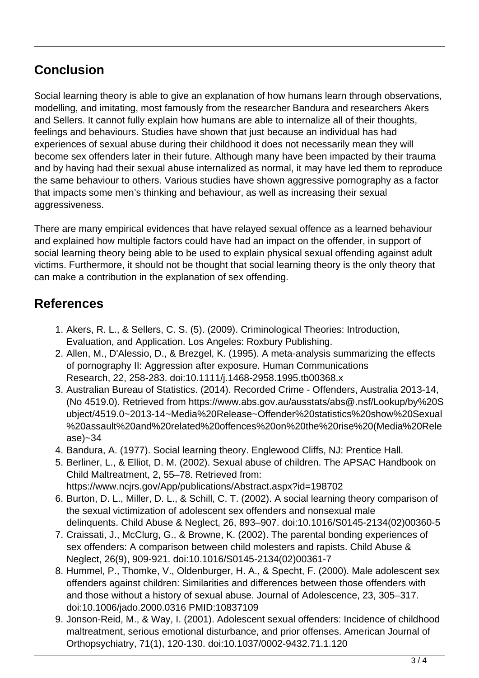### **Conclusion**

Social learning theory is able to give an explanation of how humans learn through observations, modelling, and imitating, most famously from the researcher Bandura and researchers Akers and Sellers. It cannot fully explain how humans are able to internalize all of their thoughts, feelings and behaviours. Studies have shown that just because an individual has had experiences of sexual abuse during their childhood it does not necessarily mean they will become sex offenders later in their future. Although many have been impacted by their trauma and by having had their sexual abuse internalized as normal, it may have led them to reproduce the same behaviour to others. Various studies have shown aggressive pornography as a factor that impacts some men's thinking and behaviour, as well as increasing their sexual aggressiveness.

There are many empirical evidences that have relayed sexual offence as a learned behaviour and explained how multiple factors could have had an impact on the offender, in support of social learning theory being able to be used to explain physical sexual offending against adult victims. Furthermore, it should not be thought that social learning theory is the only theory that can make a contribution in the explanation of sex offending.

#### **References**

- 1. Akers, R. L., & Sellers, C. S. (5). (2009). Criminological Theories: Introduction, Evaluation, and Application. Los Angeles: Roxbury Publishing.
- 2. Allen, M., D'Alessio, D., & Brezgel, K. (1995). A meta-analysis summarizing the effects of pornography II: Aggression after exposure. Human Communications Research, 22, 258-283. doi:10.1111/j.1468-2958.1995.tb00368.x
- 3. Australian Bureau of Statistics. (2014). Recorded Crime Offenders, Australia 2013-14, (No 4519.0). Retrieved from https://www.abs.gov.au/ausstats/abs@.nsf/Lookup/by%20S ubject/4519.0~2013-14~Media%20Release~Offender%20statistics%20show%20Sexual %20assault%20and%20related%20offences%20on%20the%20rise%20(Media%20Rele ase)~34
- 4. Bandura, A. (1977). Social learning theory. Englewood Cliffs, NJ: Prentice Hall.
- 5. Berliner, L., & Elliot, D. M. (2002). Sexual abuse of children. The APSAC Handbook on Child Maltreatment, 2, 55–78. Retrieved from: https://www.ncjrs.gov/App/publications/Abstract.aspx?id=198702
- 6. Burton, D. L., Miller, D. L., & Schill, C. T. (2002). A social learning theory comparison of the sexual victimization of adolescent sex offenders and nonsexual male delinquents. Child Abuse & Neglect, 26, 893–907. doi:10.1016/S0145-2134(02)00360-5
- 7. Craissati, J., McClurg, G., & Browne, K. (2002). The parental bonding experiences of sex offenders: A comparison between child molesters and rapists. Child Abuse & Neglect, 26(9), 909-921. doi:10.1016/S0145-2134(02)00361-7
- 8. Hummel, P., Thomke, V., Oldenburger, H. A., & Specht, F. (2000). Male adolescent sex offenders against children: Similarities and differences between those offenders with and those without a history of sexual abuse. Journal of Adolescence, 23, 305–317. doi:10.1006/jado.2000.0316 PMID:10837109
- 9. Jonson-Reid, M., & Way, I. (2001). Adolescent sexual offenders: Incidence of childhood maltreatment, serious emotional disturbance, and prior offenses. American Journal of Orthopsychiatry, 71(1), 120-130. doi:10.1037/0002-9432.71.1.120